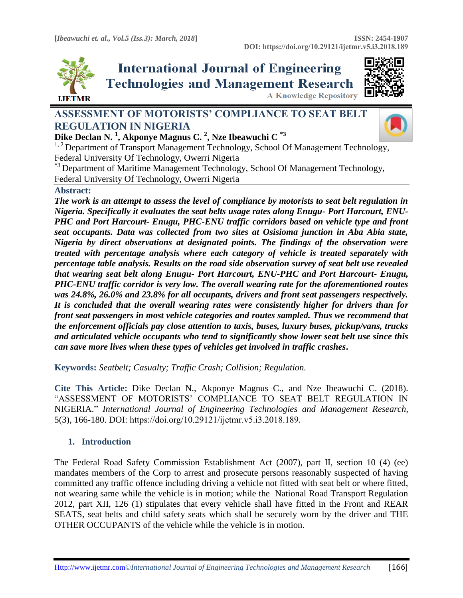

# **International Journal of Engineering Technologies and Management Research**



**A Knowledge Repository** 

# **ASSESSMENT OF MOTORISTS' COMPLIANCE TO SEAT BELT REGULATION IN NIGERIA**



**Dike Declan N. <sup>1</sup> , Akponye Magnus C. <sup>2</sup> , Nze Ibeawuchi C \*3** <sup>1, 2</sup> Department of Transport Management Technology, School Of Management Technology, Federal University Of Technology, Owerri Nigeria

<sup>\*3</sup> Department of Maritime Management Technology, School Of Management Technology, Federal University Of Technology, Owerri Nigeria

## **Abstract:**

*The work is an attempt to assess the level of compliance by motorists to seat belt regulation in Nigeria. Specifically it evaluates the seat belts usage rates along Enugu- Port Harcourt, ENU-PHC and Port Harcourt- Enugu, PHC-ENU traffic corridors based on vehicle type and front seat occupants. Data was collected from two sites at Osisioma junction in Aba Abia state, Nigeria by direct observations at designated points. The findings of the observation were treated with percentage analysis where each category of vehicle is treated separately with percentage table analysis. Results on the road side observation survey of seat belt use revealed that wearing seat belt along Enugu- Port Harcourt, ENU-PHC and Port Harcourt- Enugu, PHC-ENU traffic corridor is very low. The overall wearing rate for the aforementioned routes was 24.8%, 26.0% and 23.8% for all occupants, drivers and front seat passengers respectively. It is concluded that the overall wearing rates were consistently higher for drivers than for front seat passengers in most vehicle categories and routes sampled. Thus we recommend that the enforcement officials pay close attention to taxis, buses, luxury buses, pickup/vans, trucks and articulated vehicle occupants who tend to significantly show lower seat belt use since this can save more lives when these types of vehicles get involved in traffic crashes***.**

**Keywords:** *Seatbelt; Casualty; Traffic Crash; Collision; Regulation.* 

**Cite This Article:** Dike Declan N., Akponye Magnus C., and Nze Ibeawuchi C. (2018). "ASSESSMENT OF MOTORISTS' COMPLIANCE TO SEAT BELT REGULATION IN NIGERIA." *International Journal of Engineering Technologies and Management Research,*  5(3), 166-180. DOI: https://doi.org/10.29121/ijetmr.v5.i3.2018.189.

# **1. Introduction**

The Federal Road Safety Commission Establishment Act (2007), part II, section 10 (4) (ee) mandates members of the Corp to arrest and prosecute persons reasonably suspected of having committed any traffic offence including driving a vehicle not fitted with seat belt or where fitted, not wearing same while the vehicle is in motion; while the National Road Transport Regulation 2012, part XII, 126 (1) stipulates that every vehicle shall have fitted in the Front and REAR SEATS, seat belts and child safety seats which shall be securely worn by the driver and THE OTHER OCCUPANTS of the vehicle while the vehicle is in motion.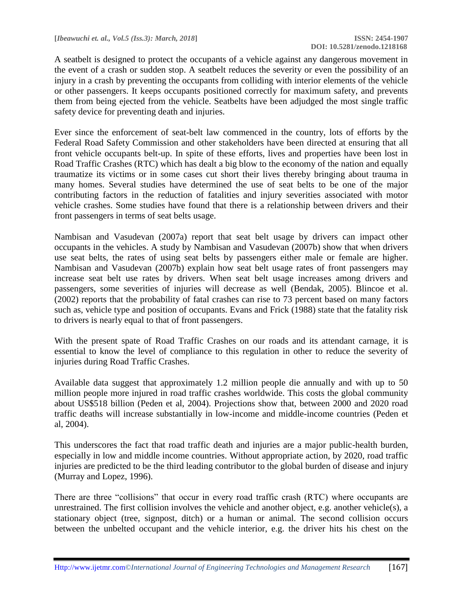A seatbelt is designed to protect the occupants of a vehicle against any dangerous movement in the event of a crash or sudden stop. A seatbelt reduces the severity or even the possibility of an injury in a crash by preventing the occupants from colliding with interior elements of the vehicle or other passengers. It keeps occupants positioned correctly for maximum safety, and prevents them from being ejected from the vehicle. Seatbelts have been adjudged the most single traffic safety device for preventing death and injuries.

Ever since the enforcement of seat-belt law commenced in the country, lots of efforts by the Federal Road Safety Commission and other stakeholders have been directed at ensuring that all front vehicle occupants belt-up. In spite of these efforts, lives and properties have been lost in Road Traffic Crashes (RTC) which has dealt a big blow to the economy of the nation and equally traumatize its victims or in some cases cut short their lives thereby bringing about trauma in many homes. Several studies have determined the use of seat belts to be one of the major contributing factors in the reduction of fatalities and injury severities associated with motor vehicle crashes. Some studies have found that there is a relationship between drivers and their front passengers in terms of seat belts usage.

Nambisan and Vasudevan (2007a) report that seat belt usage by drivers can impact other occupants in the vehicles. A study by Nambisan and Vasudevan (2007b) show that when drivers use seat belts, the rates of using seat belts by passengers either male or female are higher. Nambisan and Vasudevan (2007b) explain how seat belt usage rates of front passengers may increase seat belt use rates by drivers. When seat belt usage increases among drivers and passengers, some severities of injuries will decrease as well (Bendak, 2005). Blincoe et al. (2002) reports that the probability of fatal crashes can rise to 73 percent based on many factors such as, vehicle type and position of occupants. Evans and Frick (1988) state that the fatality risk to drivers is nearly equal to that of front passengers.

With the present spate of Road Traffic Crashes on our roads and its attendant carnage, it is essential to know the level of compliance to this regulation in other to reduce the severity of injuries during Road Traffic Crashes.

Available data suggest that approximately 1.2 million people die annually and with up to 50 million people more injured in road traffic crashes worldwide. This costs the global community about US\$518 billion (Peden et al, 2004). Projections show that, between 2000 and 2020 road traffic deaths will increase substantially in low-income and middle-income countries (Peden et al, 2004).

This underscores the fact that road traffic death and injuries are a major public-health burden, especially in low and middle income countries. Without appropriate action, by 2020, road traffic injuries are predicted to be the third leading contributor to the global burden of disease and injury (Murray and Lopez, 1996).

There are three "collisions" that occur in every road traffic crash (RTC) where occupants are unrestrained. The first collision involves the vehicle and another object, e.g. another vehicle(s), a stationary object (tree, signpost, ditch) or a human or animal. The second collision occurs between the unbelted occupant and the vehicle interior, e.g. the driver hits his chest on the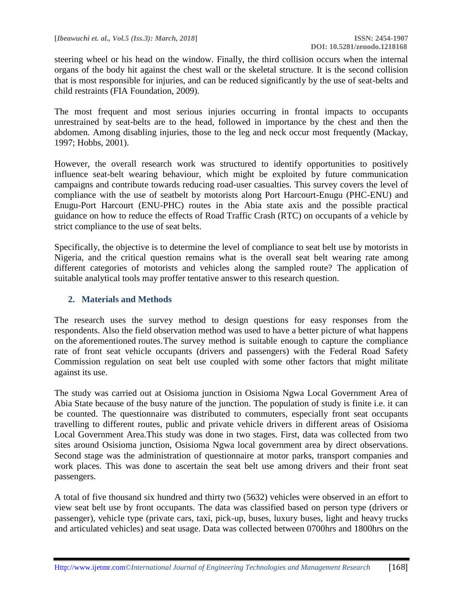steering wheel or his head on the window. Finally, the third collision occurs when the internal organs of the body hit against the chest wall or the skeletal structure. It is the second collision that is most responsible for injuries, and can be reduced significantly by the use of seat-belts and child restraints (FIA Foundation, 2009).

The most frequent and most serious injuries occurring in frontal impacts to occupants unrestrained by seat-belts are to the head, followed in importance by the chest and then the abdomen. Among disabling injuries, those to the leg and neck occur most frequently (Mackay, 1997; Hobbs, 2001).

However, the overall research work was structured to identify opportunities to positively influence seat-belt wearing behaviour, which might be exploited by future communication campaigns and contribute towards reducing road-user casualties. This survey covers the level of compliance with the use of seatbelt by motorists along Port Harcourt-Enugu (PHC-ENU) and Enugu-Port Harcourt (ENU-PHC) routes in the Abia state axis and the possible practical guidance on how to reduce the effects of Road Traffic Crash (RTC) on occupants of a vehicle by strict compliance to the use of seat belts.

Specifically, the objective is to determine the level of compliance to seat belt use by motorists in Nigeria, and the critical question remains what is the overall seat belt wearing rate among different categories of motorists and vehicles along the sampled route? The application of suitable analytical tools may proffer tentative answer to this research question.

#### **2. Materials and Methods**

The research uses the survey method to design questions for easy responses from the respondents. Also the field observation method was used to have a better picture of what happens on the aforementioned routes.The survey method is suitable enough to capture the compliance rate of front seat vehicle occupants (drivers and passengers) with the Federal Road Safety Commission regulation on seat belt use coupled with some other factors that might militate against its use.

The study was carried out at Osisioma junction in Osisioma Ngwa Local Government Area of Abia State because of the busy nature of the junction. The population of study is finite i.e. it can be counted. The questionnaire was distributed to commuters, especially front seat occupants travelling to different routes, public and private vehicle drivers in different areas of Osisioma Local Government Area.This study was done in two stages. First, data was collected from two sites around Osisioma junction, Osisioma Ngwa local government area by direct observations. Second stage was the administration of questionnaire at motor parks, transport companies and work places. This was done to ascertain the seat belt use among drivers and their front seat passengers.

A total of five thousand six hundred and thirty two (5632) vehicles were observed in an effort to view seat belt use by front occupants. The data was classified based on person type (drivers or passenger), vehicle type (private cars, taxi, pick-up, buses, luxury buses, light and heavy trucks and articulated vehicles) and seat usage. Data was collected between 0700hrs and 1800hrs on the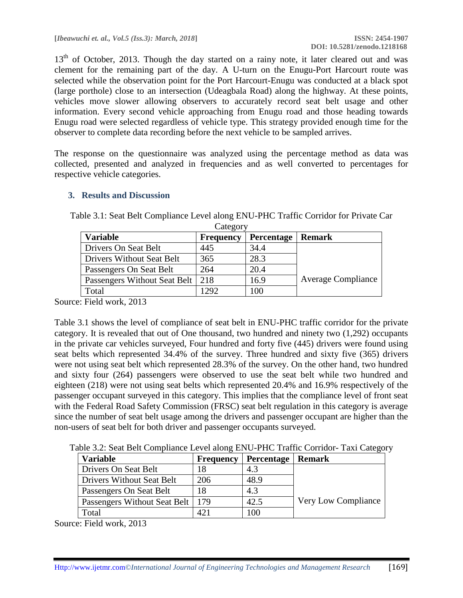13<sup>th</sup> of October, 2013. Though the day started on a rainy note, it later cleared out and was clement for the remaining part of the day. A U-turn on the Enugu-Port Harcourt route was selected while the observation point for the Port Harcourt-Enugu was conducted at a black spot (large porthole) close to an intersection (Udeagbala Road) along the highway. At these points, vehicles move slower allowing observers to accurately record seat belt usage and other information. Every second vehicle approaching from Enugu road and those heading towards Enugu road were selected regardless of vehicle type. This strategy provided enough time for the observer to complete data recording before the next vehicle to be sampled arrives.

The response on the questionnaire was analyzed using the percentage method as data was collected, presented and analyzed in frequencies and as well converted to percentages for respective vehicle categories.

## **3. Results and Discussion**

| Category                           |                  |                   |                           |  |  |
|------------------------------------|------------------|-------------------|---------------------------|--|--|
| <b>Variable</b>                    | <b>Frequency</b> | <b>Percentage</b> | <b>Remark</b>             |  |  |
| Drivers On Seat Belt               | 445              | 34.4              |                           |  |  |
| Drivers Without Seat Belt          | 365              | 28.3              |                           |  |  |
| Passengers On Seat Belt            | 264              | 20.4              |                           |  |  |
| Passengers Without Seat Belt   218 |                  | 16.9              | <b>Average Compliance</b> |  |  |
| Total                              | 1292             | 100               |                           |  |  |

Table 3.1: Seat Belt Compliance Level along ENU-PHC Traffic Corridor for Private Car

Source: Field work, 2013

Table 3.1 shows the level of compliance of seat belt in ENU-PHC traffic corridor for the private category. It is revealed that out of One thousand, two hundred and ninety two (1,292) occupants in the private car vehicles surveyed, Four hundred and forty five (445) drivers were found using seat belts which represented 34.4% of the survey. Three hundred and sixty five (365) drivers were not using seat belt which represented 28.3% of the survey. On the other hand, two hundred and sixty four (264) passengers were observed to use the seat belt while two hundred and eighteen (218) were not using seat belts which represented 20.4% and 16.9% respectively of the passenger occupant surveyed in this category. This implies that the compliance level of front seat with the Federal Road Safety Commission (FRSC) seat belt regulation in this category is average since the number of seat belt usage among the drivers and passenger occupant are higher than the non-users of seat belt for both driver and passenger occupants surveyed.

Table 3.2: Seat Belt Compliance Level along ENU-PHC Traffic Corridor- Taxi Category

| <b>Variable</b>                    | <b>Frequency</b> | Percentage   Remark |                     |
|------------------------------------|------------------|---------------------|---------------------|
| Drivers On Seat Belt               | 18               | 4.3                 |                     |
| Drivers Without Seat Belt          | 206              | 48.9                |                     |
| Passengers On Seat Belt            | 18               | 4.3                 |                     |
| Passengers Without Seat Belt   179 |                  | 42.5                | Very Low Compliance |
| Total                              |                  | 100                 |                     |

Source: Field work, 2013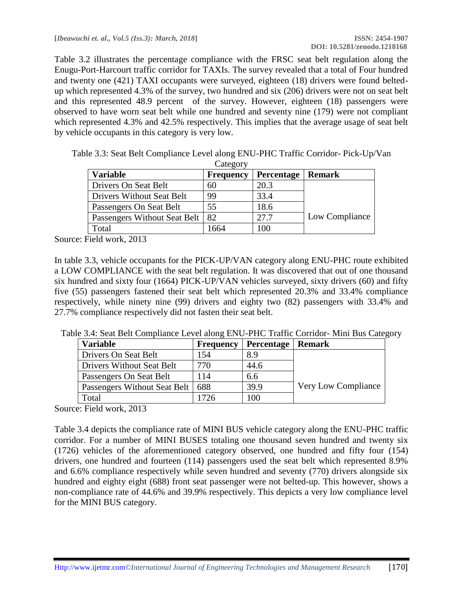Table 3.2 illustrates the percentage compliance with the FRSC seat belt regulation along the Enugu-Port-Harcourt traffic corridor for TAXIs. The survey revealed that a total of Four hundred and twenty one (421) TAXI occupants were surveyed, eighteen (18) drivers were found beltedup which represented 4.3% of the survey, two hundred and six (206) drivers were not on seat belt and this represented 48.9 percent of the survey. However, eighteen (18) passengers were observed to have worn seat belt while one hundred and seventy nine (179) were not compliant which represented 4.3% and 42.5% respectively. This implies that the average usage of seat belt by vehicle occupants in this category is very low.

| <b>Variable</b>                  | <b>Frequency</b> | <b>Percentage</b> | <b>Remark</b>  |
|----------------------------------|------------------|-------------------|----------------|
| Drivers On Seat Belt             | 60               | 20.3              |                |
| <b>Drivers Without Seat Belt</b> | 99               | 33.4              |                |
| Passengers On Seat Belt          | 55               | 18.6              |                |
| Passengers Without Seat Belt     | 82               | 27.7              | Low Compliance |
| Total                            | 1664             | 100               |                |

Table 3.3: Seat Belt Compliance Level along ENU-PHC Traffic Corridor- Pick-Up/Van  $C_{\text{atom}}$ 

Source: Field work, 2013

In table 3.3, vehicle occupants for the PICK-UP/VAN category along ENU-PHC route exhibited a LOW COMPLIANCE with the seat belt regulation. It was discovered that out of one thousand six hundred and sixty four (1664) PICK-UP/VAN vehicles surveyed, sixty drivers (60) and fifty five (55) passengers fastened their seat belt which represented 20.3% and 33.4% compliance respectively, while ninety nine (99) drivers and eighty two (82) passengers with 33.4% and 27.7% compliance respectively did not fasten their seat belt.

| Table 3.4: Seat Belt Compliance Level along ENU-PHC Traffic Corridor- Mini Bus Category |  |  |  |
|-----------------------------------------------------------------------------------------|--|--|--|
|                                                                                         |  |  |  |

| <b>Variable</b>                  | <b>Frequency</b> | Percentage | <b>Remark</b>       |
|----------------------------------|------------------|------------|---------------------|
| Drivers On Seat Belt             | 154              | 8.9        |                     |
| <b>Drivers Without Seat Belt</b> | 770              | 44.6       |                     |
| Passengers On Seat Belt          | 114              | 6.6        |                     |
| Passengers Without Seat Belt     | 688              | 39.9       | Very Low Compliance |
| Total                            | 1726             | 100        |                     |

Source: Field work, 2013

Table 3.4 depicts the compliance rate of MINI BUS vehicle category along the ENU-PHC traffic corridor. For a number of MINI BUSES totaling one thousand seven hundred and twenty six (1726) vehicles of the aforementioned category observed, one hundred and fifty four (154) drivers, one hundred and fourteen (114) passengers used the seat belt which represented 8.9% and 6.6% compliance respectively while seven hundred and seventy (770) drivers alongside six hundred and eighty eight (688) front seat passenger were not belted-up. This however, shows a non-compliance rate of 44.6% and 39.9% respectively. This depicts a very low compliance level for the MINI BUS category.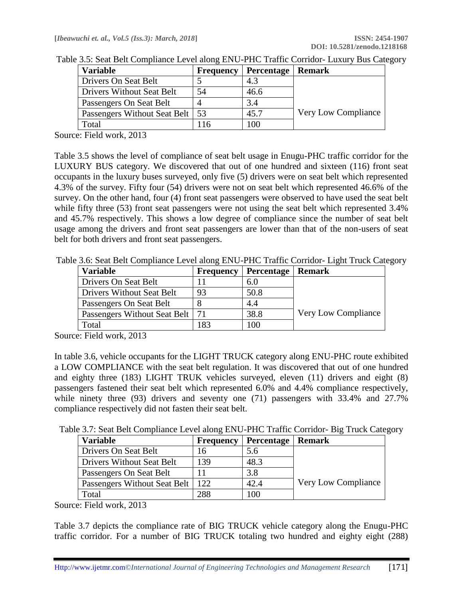| <b>Frequency</b> |                                   |                            |
|------------------|-----------------------------------|----------------------------|
|                  | 4.3                               |                            |
| 54               | 46.6                              |                            |
|                  | 3.4                               |                            |
|                  | 45.7                              | <b>Very Low Compliance</b> |
| 16               | 100                               |                            |
|                  | Passengers Without Seat Belt   53 | Percentage   Remark        |

Table 3.5: Seat Belt Compliance Level along ENU-PHC Traffic Corridor- Luxury Bus Category

Source: Field work, 2013

Table 3.5 shows the level of compliance of seat belt usage in Enugu-PHC traffic corridor for the LUXURY BUS category. We discovered that out of one hundred and sixteen (116) front seat occupants in the luxury buses surveyed, only five (5) drivers were on seat belt which represented 4.3% of the survey. Fifty four (54) drivers were not on seat belt which represented 46.6% of the survey. On the other hand, four (4) front seat passengers were observed to have used the seat belt while fifty three (53) front seat passengers were not using the seat belt which represented 3.4% and 45.7% respectively. This shows a low degree of compliance since the number of seat belt usage among the drivers and front seat passengers are lower than that of the non-users of seat belt for both drivers and front seat passengers.

Table 3.6: Seat Belt Compliance Level along ENU-PHC Traffic Corridor- Light Truck Category

| <b>Variable</b>                   | <b>Frequency</b> | Percentage   Remark |                     |
|-----------------------------------|------------------|---------------------|---------------------|
| Drivers On Seat Belt              |                  | 6.0                 |                     |
| Drivers Without Seat Belt         | 93               | 50.8                |                     |
| Passengers On Seat Belt           |                  | 4.4                 |                     |
| Passengers Without Seat Belt   71 |                  | 38.8                | Very Low Compliance |
| Total                             | 183              | 100                 |                     |

Source: Field work, 2013

In table 3.6, vehicle occupants for the LIGHT TRUCK category along ENU-PHC route exhibited a LOW COMPLIANCE with the seat belt regulation. It was discovered that out of one hundred and eighty three (183) LIGHT TRUK vehicles surveyed, eleven (11) drivers and eight (8) passengers fastened their seat belt which represented 6.0% and 4.4% compliance respectively, while ninety three (93) drivers and seventy one (71) passengers with 33.4% and 27.7% compliance respectively did not fasten their seat belt.

Table 3.7: Seat Belt Compliance Level along ENU-PHC Traffic Corridor- Big Truck Category

| <b>Variable</b>              | <b>Frequency</b> | <b>Percentage</b> | <b>Remark</b>       |
|------------------------------|------------------|-------------------|---------------------|
| Drivers On Seat Belt         | 16               | 5.6               |                     |
| Drivers Without Seat Belt    | 139              | 48.3              |                     |
| Passengers On Seat Belt      |                  | 3.8               |                     |
| Passengers Without Seat Belt | 122              | 42.4              | Very Low Compliance |
| Total                        | 288              | 100               |                     |

Source: Field work, 2013

Table 3.7 depicts the compliance rate of BIG TRUCK vehicle category along the Enugu-PHC traffic corridor. For a number of BIG TRUCK totaling two hundred and eighty eight (288)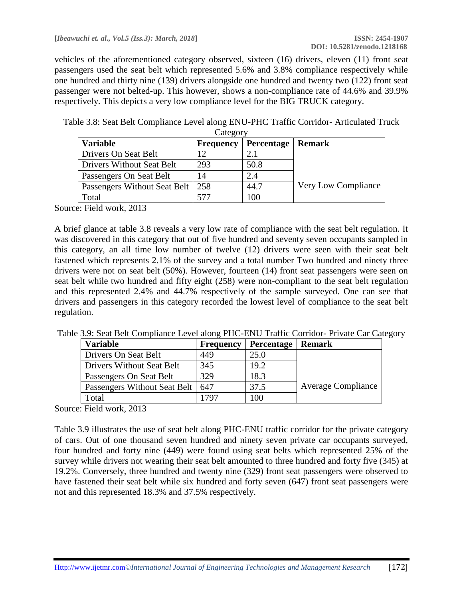vehicles of the aforementioned category observed, sixteen (16) drivers, eleven (11) front seat passengers used the seat belt which represented 5.6% and 3.8% compliance respectively while one hundred and thirty nine (139) drivers alongside one hundred and twenty two (122) front seat passenger were not belted-up. This however, shows a non-compliance rate of 44.6% and 39.9% respectively. This depicts a very low compliance level for the BIG TRUCK category.

Table 3.8: Seat Belt Compliance Level along ENU-PHC Traffic Corridor- Articulated Truck **Category** 

| <b>Variable</b>              | <b>Frequency</b> | <b>Percentage</b> | Remark              |
|------------------------------|------------------|-------------------|---------------------|
| Drivers On Seat Belt         | 12               | 2.1               |                     |
| Drivers Without Seat Belt    | 293              | 50.8              |                     |
| Passengers On Seat Belt      | 14               | 2.4               |                     |
| Passengers Without Seat Belt | 258              | 44.7              | Very Low Compliance |
| Total                        | 577              | 100               |                     |

Source: Field work, 2013

A brief glance at table 3.8 reveals a very low rate of compliance with the seat belt regulation. It was discovered in this category that out of five hundred and seventy seven occupants sampled in this category, an all time low number of twelve (12) drivers were seen with their seat belt fastened which represents 2.1% of the survey and a total number Two hundred and ninety three drivers were not on seat belt (50%). However, fourteen (14) front seat passengers were seen on seat belt while two hundred and fifty eight (258) were non-compliant to the seat belt regulation and this represented 2.4% and 44.7% respectively of the sample surveyed. One can see that drivers and passengers in this category recorded the lowest level of compliance to the seat belt regulation.

|  | Table 3.9: Seat Belt Compliance Level along PHC-ENU Traffic Corridor- Private Car Category |  |
|--|--------------------------------------------------------------------------------------------|--|
|  |                                                                                            |  |

| <b>Variable</b>              | <b>Frequency</b> | <b>Percentage</b>   Remark |                           |
|------------------------------|------------------|----------------------------|---------------------------|
| Drivers On Seat Belt         | 449              | 25.0                       |                           |
| Drivers Without Seat Belt    | 345              | 19.2                       |                           |
| Passengers On Seat Belt      | 329              | 18.3                       |                           |
| Passengers Without Seat Belt | 647              | 37.5                       | <b>Average Compliance</b> |
| Total                        | 1797             | 100                        |                           |

Source: Field work, 2013

Table 3.9 illustrates the use of seat belt along PHC-ENU traffic corridor for the private category of cars. Out of one thousand seven hundred and ninety seven private car occupants surveyed, four hundred and forty nine (449) were found using seat belts which represented 25% of the survey while drivers not wearing their seat belt amounted to three hundred and forty five (345) at 19.2%. Conversely, three hundred and twenty nine (329) front seat passengers were observed to have fastened their seat belt while six hundred and forty seven (647) front seat passengers were not and this represented 18.3% and 37.5% respectively.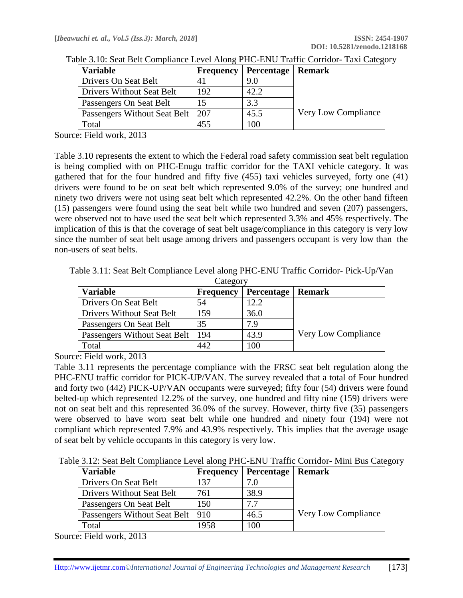| <b>Frequency</b> |                                    |                            |
|------------------|------------------------------------|----------------------------|
| 41               | 9.0                                |                            |
| 192              | 42.2                               |                            |
|                  | 3.3                                |                            |
|                  | 45.5                               | <b>Very Low Compliance</b> |
| 455              | 100                                |                            |
|                  | Passengers Without Seat Belt   207 | <b>Percentage</b>   Remark |

Table 3.10: Seat Belt Compliance Level Along PHC-ENU Traffic Corridor- Taxi Category

Source: Field work, 2013

Table 3.10 represents the extent to which the Federal road safety commission seat belt regulation is being complied with on PHC-Enugu traffic corridor for the TAXI vehicle category. It was gathered that for the four hundred and fifty five (455) taxi vehicles surveyed, forty one (41) drivers were found to be on seat belt which represented 9.0% of the survey; one hundred and ninety two drivers were not using seat belt which represented 42.2%. On the other hand fifteen (15) passengers were found using the seat belt while two hundred and seven (207) passengers, were observed not to have used the seat belt which represented 3.3% and 45% respectively. The implication of this is that the coverage of seat belt usage/compliance in this category is very low since the number of seat belt usage among drivers and passengers occupant is very low than the non-users of seat belts.

Table 3.11: Seat Belt Compliance Level along PHC-ENU Traffic Corridor- Pick-Up/Van

| Category                         |                  |                   |                     |
|----------------------------------|------------------|-------------------|---------------------|
| <b>Variable</b>                  | <b>Frequency</b> | <b>Percentage</b> | Remark              |
| Drivers On Seat Belt             | 54               | 12.2              |                     |
| <b>Drivers Without Seat Belt</b> | 159              | 36.0              |                     |
| Passengers On Seat Belt          | 35               | 7.9               |                     |
| Passengers Without Seat Belt     | 194              | 43.9              | Very Low Compliance |
| Total                            | 442              | 100               |                     |

Source: Field work, 2013

Table 3.11 represents the percentage compliance with the FRSC seat belt regulation along the PHC-ENU traffic corridor for PICK-UP/VAN. The survey revealed that a total of Four hundred and forty two (442) PICK-UP/VAN occupants were surveyed; fifty four (54) drivers were found belted-up which represented 12.2% of the survey, one hundred and fifty nine (159) drivers were not on seat belt and this represented 36.0% of the survey. However, thirty five (35) passengers were observed to have worn seat belt while one hundred and ninety four (194) were not compliant which represented 7.9% and 43.9% respectively. This implies that the average usage of seat belt by vehicle occupants in this category is very low.

Table 3.12: Seat Belt Compliance Level along PHC-ENU Traffic Corridor- Mini Bus Category

| <b>Variable</b>                    | <b>Frequency</b> | <b>Percentage</b> | <b>Remark</b>       |
|------------------------------------|------------------|-------------------|---------------------|
| Drivers On Seat Belt               | 137              | 7.0               |                     |
| Drivers Without Seat Belt          | 761              | 38.9              |                     |
| Passengers On Seat Belt            | .50              | 7.7               |                     |
| Passengers Without Seat Belt   910 |                  | 46.5              | Very Low Compliance |
| Total                              | 1958             | 100               |                     |

Source: Field work, 2013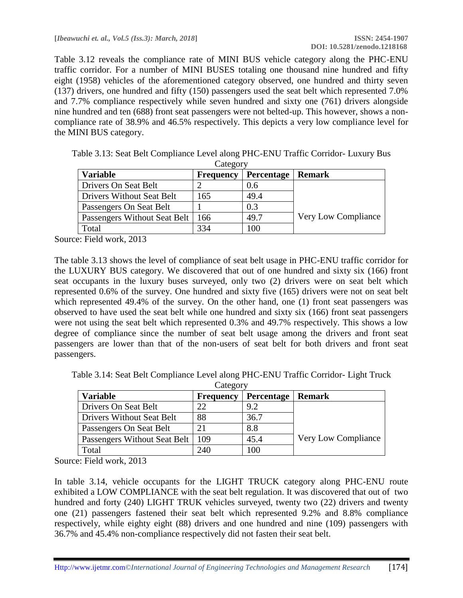Table 3.12 reveals the compliance rate of MINI BUS vehicle category along the PHC-ENU traffic corridor. For a number of MINI BUSES totaling one thousand nine hundred and fifty eight (1958) vehicles of the aforementioned category observed, one hundred and thirty seven (137) drivers, one hundred and fifty (150) passengers used the seat belt which represented 7.0% and 7.7% compliance respectively while seven hundred and sixty one (761) drivers alongside nine hundred and ten (688) front seat passengers were not belted-up. This however, shows a noncompliance rate of 38.9% and 46.5% respectively. This depicts a very low compliance level for the MINI BUS category.

| <b>Variable</b>                  | <b>Frequency</b> | <b>Percentage</b> | Remark                     |
|----------------------------------|------------------|-------------------|----------------------------|
| Drivers On Seat Belt             |                  | 0.6               |                            |
| <b>Drivers Without Seat Belt</b> | 165              | 49.4              |                            |
| Passengers On Seat Belt          |                  | 0.3               |                            |
| Passengers Without Seat Belt     | 166              | 49.7              | <b>Very Low Compliance</b> |
| Total                            | 334              | 100               |                            |

Table 3.13: Seat Belt Compliance Level along PHC-ENU Traffic Corridor- Luxury Bus **Category** 

Source: Field work, 2013

The table 3.13 shows the level of compliance of seat belt usage in PHC-ENU traffic corridor for the LUXURY BUS category. We discovered that out of one hundred and sixty six (166) front seat occupants in the luxury buses surveyed, only two (2) drivers were on seat belt which represented 0.6% of the survey. One hundred and sixty five (165) drivers were not on seat belt which represented 49.4% of the survey. On the other hand, one (1) front seat passengers was observed to have used the seat belt while one hundred and sixty six (166) front seat passengers were not using the seat belt which represented 0.3% and 49.7% respectively. This shows a low degree of compliance since the number of seat belt usage among the drivers and front seat passengers are lower than that of the non-users of seat belt for both drivers and front seat passengers.

Table 3.14: Seat Belt Compliance Level along PHC-ENU Traffic Corridor- Light Truck

| Category                         |                  |                   |                     |
|----------------------------------|------------------|-------------------|---------------------|
| <b>Variable</b>                  | <b>Frequency</b> | <b>Percentage</b> | <b>Remark</b>       |
| Drivers On Seat Belt             | 22               | 9.2               |                     |
| <b>Drivers Without Seat Belt</b> | 88               | 36.7              |                     |
| Passengers On Seat Belt          | 21               | 8.8               |                     |
| Passengers Without Seat Belt     | 109              | 45.4              | Very Low Compliance |
| Total                            | 240              | 100               |                     |

Source: Field work, 2013

In table 3.14, vehicle occupants for the LIGHT TRUCK category along PHC-ENU route exhibited a LOW COMPLIANCE with the seat belt regulation. It was discovered that out of two hundred and forty (240) LIGHT TRUK vehicles surveyed, twenty two (22) drivers and twenty one (21) passengers fastened their seat belt which represented 9.2% and 8.8% compliance respectively, while eighty eight (88) drivers and one hundred and nine (109) passengers with 36.7% and 45.4% non-compliance respectively did not fasten their seat belt.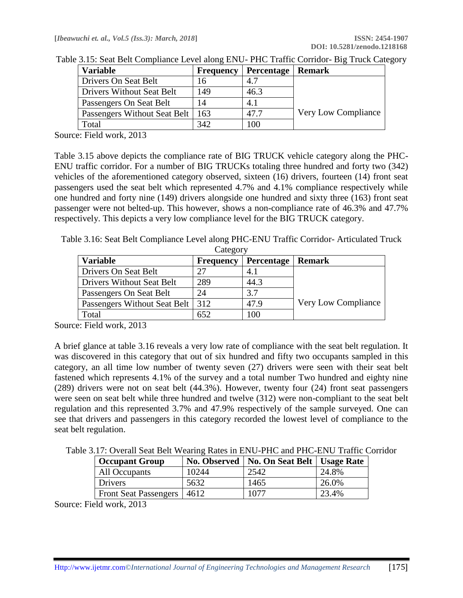| <b>Frequency</b>                   |      |                     |
|------------------------------------|------|---------------------|
|                                    | 4.7  |                     |
| 149                                | 46.3 |                     |
| 14                                 | 4.1  |                     |
| Passengers Without Seat Belt   163 | 47.7 | Very Low Compliance |
| 342                                | 100  |                     |
|                                    |      | Percentage   Remark |

Table 3.15: Seat Belt Compliance Level along ENU- PHC Traffic Corridor- Big Truck Category

Source: Field work, 2013

Table 3.15 above depicts the compliance rate of BIG TRUCK vehicle category along the PHC-ENU traffic corridor. For a number of BIG TRUCKs totaling three hundred and forty two (342) vehicles of the aforementioned category observed, sixteen (16) drivers, fourteen (14) front seat passengers used the seat belt which represented 4.7% and 4.1% compliance respectively while one hundred and forty nine (149) drivers alongside one hundred and sixty three (163) front seat passenger were not belted-up. This however, shows a non-compliance rate of 46.3% and 47.7% respectively. This depicts a very low compliance level for the BIG TRUCK category.

Table 3.16: Seat Belt Compliance Level along PHC-ENU Traffic Corridor- Articulated Truck Category

| <b>Variable</b>              | <b>Frequency</b> | <b>Percentage</b> | Remark                     |
|------------------------------|------------------|-------------------|----------------------------|
| Drivers On Seat Belt         | 27               | 4.1               |                            |
| Drivers Without Seat Belt    | 289              | 44.3              |                            |
| Passengers On Seat Belt      | 24               | 3.7               |                            |
| Passengers Without Seat Belt | 312              | 47.9              | <b>Very Low Compliance</b> |
| Total                        | 652              | 100               |                            |

Source: Field work, 2013

A brief glance at table 3.16 reveals a very low rate of compliance with the seat belt regulation. It was discovered in this category that out of six hundred and fifty two occupants sampled in this category, an all time low number of twenty seven (27) drivers were seen with their seat belt fastened which represents 4.1% of the survey and a total number Two hundred and eighty nine (289) drivers were not on seat belt (44.3%). However, twenty four (24) front seat passengers were seen on seat belt while three hundred and twelve (312) were non-compliant to the seat belt regulation and this represented 3.7% and 47.9% respectively of the sample surveyed. One can see that drivers and passengers in this category recorded the lowest level of compliance to the seat belt regulation.

Table 3.17: Overall Seat Belt Wearing Rates in ENU-PHC and PHC-ENU Traffic Corridor

| <b>Occupant Group</b>        | <b>No. Observed</b> | No. On Seat Belt   Usage Rate |       |
|------------------------------|---------------------|-------------------------------|-------|
| All Occupants                | 10244               | 2542                          | 24.8% |
| <b>Drivers</b>               | 5632                | 1465                          | 26.0% |
| Front Seat Passengers   4612 |                     | 1077                          | 23.4% |

Source: Field work, 2013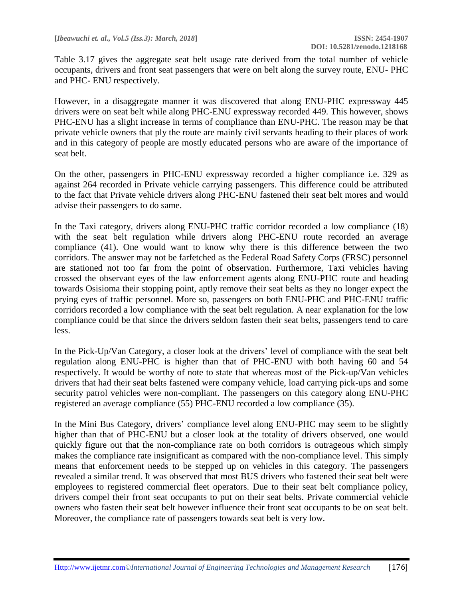Table 3.17 gives the aggregate seat belt usage rate derived from the total number of vehicle occupants, drivers and front seat passengers that were on belt along the survey route, ENU- PHC and PHC- ENU respectively.

However, in a disaggregate manner it was discovered that along ENU-PHC expressway 445 drivers were on seat belt while along PHC-ENU expressway recorded 449. This however, shows PHC-ENU has a slight increase in terms of compliance than ENU-PHC. The reason may be that private vehicle owners that ply the route are mainly civil servants heading to their places of work and in this category of people are mostly educated persons who are aware of the importance of seat belt.

On the other, passengers in PHC-ENU expressway recorded a higher compliance i.e. 329 as against 264 recorded in Private vehicle carrying passengers. This difference could be attributed to the fact that Private vehicle drivers along PHC-ENU fastened their seat belt mores and would advise their passengers to do same.

In the Taxi category, drivers along ENU-PHC traffic corridor recorded a low compliance (18) with the seat belt regulation while drivers along PHC-ENU route recorded an average compliance (41). One would want to know why there is this difference between the two corridors. The answer may not be farfetched as the Federal Road Safety Corps (FRSC) personnel are stationed not too far from the point of observation. Furthermore, Taxi vehicles having crossed the observant eyes of the law enforcement agents along ENU-PHC route and heading towards Osisioma their stopping point, aptly remove their seat belts as they no longer expect the prying eyes of traffic personnel. More so, passengers on both ENU-PHC and PHC-ENU traffic corridors recorded a low compliance with the seat belt regulation. A near explanation for the low compliance could be that since the drivers seldom fasten their seat belts, passengers tend to care less.

In the Pick-Up/Van Category, a closer look at the drivers' level of compliance with the seat belt regulation along ENU-PHC is higher than that of PHC-ENU with both having 60 and 54 respectively. It would be worthy of note to state that whereas most of the Pick-up/Van vehicles drivers that had their seat belts fastened were company vehicle, load carrying pick-ups and some security patrol vehicles were non-compliant. The passengers on this category along ENU-PHC registered an average compliance (55) PHC-ENU recorded a low compliance (35).

In the Mini Bus Category, drivers' compliance level along ENU-PHC may seem to be slightly higher than that of PHC-ENU but a closer look at the totality of drivers observed, one would quickly figure out that the non-compliance rate on both corridors is outrageous which simply makes the compliance rate insignificant as compared with the non-compliance level. This simply means that enforcement needs to be stepped up on vehicles in this category. The passengers revealed a similar trend. It was observed that most BUS drivers who fastened their seat belt were employees to registered commercial fleet operators. Due to their seat belt compliance policy, drivers compel their front seat occupants to put on their seat belts. Private commercial vehicle owners who fasten their seat belt however influence their front seat occupants to be on seat belt. Moreover, the compliance rate of passengers towards seat belt is very low.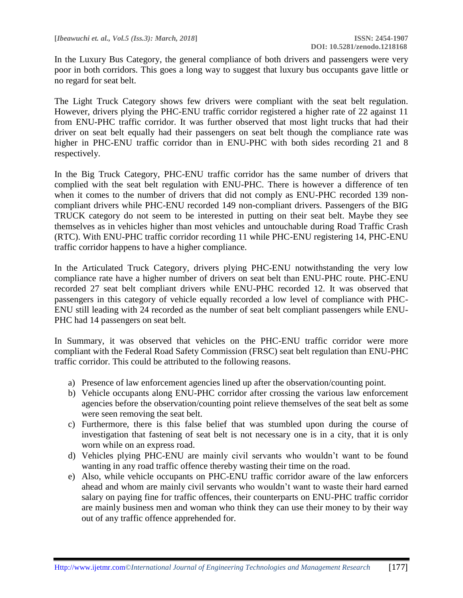In the Luxury Bus Category, the general compliance of both drivers and passengers were very poor in both corridors. This goes a long way to suggest that luxury bus occupants gave little or no regard for seat belt.

The Light Truck Category shows few drivers were compliant with the seat belt regulation. However, drivers plying the PHC-ENU traffic corridor registered a higher rate of 22 against 11 from ENU-PHC traffic corridor. It was further observed that most light trucks that had their driver on seat belt equally had their passengers on seat belt though the compliance rate was higher in PHC-ENU traffic corridor than in ENU-PHC with both sides recording 21 and 8 respectively.

In the Big Truck Category, PHC-ENU traffic corridor has the same number of drivers that complied with the seat belt regulation with ENU-PHC. There is however a difference of ten when it comes to the number of drivers that did not comply as ENU-PHC recorded 139 noncompliant drivers while PHC-ENU recorded 149 non-compliant drivers. Passengers of the BIG TRUCK category do not seem to be interested in putting on their seat belt. Maybe they see themselves as in vehicles higher than most vehicles and untouchable during Road Traffic Crash (RTC). With ENU-PHC traffic corridor recording 11 while PHC-ENU registering 14, PHC-ENU traffic corridor happens to have a higher compliance.

In the Articulated Truck Category, drivers plying PHC-ENU notwithstanding the very low compliance rate have a higher number of drivers on seat belt than ENU-PHC route. PHC-ENU recorded 27 seat belt compliant drivers while ENU-PHC recorded 12. It was observed that passengers in this category of vehicle equally recorded a low level of compliance with PHC-ENU still leading with 24 recorded as the number of seat belt compliant passengers while ENU-PHC had 14 passengers on seat belt.

In Summary, it was observed that vehicles on the PHC-ENU traffic corridor were more compliant with the Federal Road Safety Commission (FRSC) seat belt regulation than ENU-PHC traffic corridor. This could be attributed to the following reasons.

- a) Presence of law enforcement agencies lined up after the observation/counting point.
- b) Vehicle occupants along ENU-PHC corridor after crossing the various law enforcement agencies before the observation/counting point relieve themselves of the seat belt as some were seen removing the seat belt.
- c) Furthermore, there is this false belief that was stumbled upon during the course of investigation that fastening of seat belt is not necessary one is in a city, that it is only worn while on an express road.
- d) Vehicles plying PHC-ENU are mainly civil servants who wouldn't want to be found wanting in any road traffic offence thereby wasting their time on the road.
- e) Also, while vehicle occupants on PHC-ENU traffic corridor aware of the law enforcers ahead and whom are mainly civil servants who wouldn't want to waste their hard earned salary on paying fine for traffic offences, their counterparts on ENU-PHC traffic corridor are mainly business men and woman who think they can use their money to by their way out of any traffic offence apprehended for.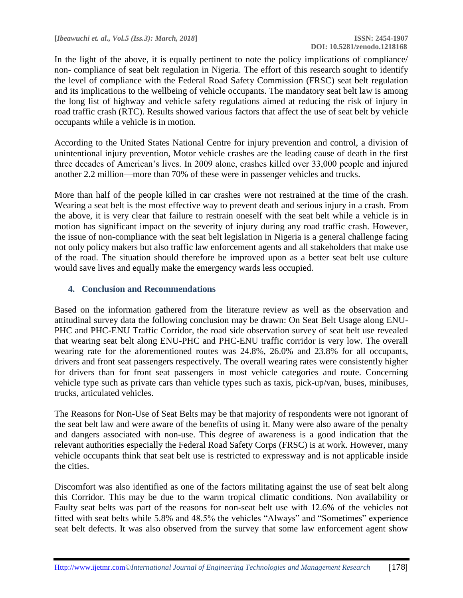In the light of the above, it is equally pertinent to note the policy implications of compliance/ non- compliance of seat belt regulation in Nigeria. The effort of this research sought to identify the level of compliance with the Federal Road Safety Commission (FRSC) seat belt regulation and its implications to the wellbeing of vehicle occupants. The mandatory seat belt law is among the long list of highway and vehicle safety regulations aimed at reducing the risk of injury in road traffic crash (RTC). Results showed various factors that affect the use of seat belt by vehicle occupants while a vehicle is in motion.

According to the United States National Centre for injury prevention and control, a division of unintentional injury prevention, Motor vehicle crashes are the leading cause of death in the first three decades of American's lives. In 2009 alone, crashes killed over 33,000 people and injured another 2.2 million—more than 70% of these were in passenger vehicles and trucks.

More than half of the people killed in car crashes were not restrained at the time of the crash. Wearing a seat belt is the most effective way to prevent death and serious injury in a crash. From the above, it is very clear that failure to restrain oneself with the seat belt while a vehicle is in motion has significant impact on the severity of injury during any road traffic crash. However, the issue of non-compliance with the seat belt legislation in Nigeria is a general challenge facing not only policy makers but also traffic law enforcement agents and all stakeholders that make use of the road. The situation should therefore be improved upon as a better seat belt use culture would save lives and equally make the emergency wards less occupied.

#### **4. Conclusion and Recommendations**

Based on the information gathered from the literature review as well as the observation and attitudinal survey data the following conclusion may be drawn: On Seat Belt Usage along ENU-PHC and PHC-ENU Traffic Corridor, the road side observation survey of seat belt use revealed that wearing seat belt along ENU-PHC and PHC-ENU traffic corridor is very low. The overall wearing rate for the aforementioned routes was 24.8%, 26.0% and 23.8% for all occupants, drivers and front seat passengers respectively. The overall wearing rates were consistently higher for drivers than for front seat passengers in most vehicle categories and route. Concerning vehicle type such as private cars than vehicle types such as taxis, pick-up/van, buses, minibuses, trucks, articulated vehicles.

The Reasons for Non-Use of Seat Belts may be that majority of respondents were not ignorant of the seat belt law and were aware of the benefits of using it. Many were also aware of the penalty and dangers associated with non-use. This degree of awareness is a good indication that the relevant authorities especially the Federal Road Safety Corps (FRSC) is at work. However, many vehicle occupants think that seat belt use is restricted to expressway and is not applicable inside the cities.

Discomfort was also identified as one of the factors militating against the use of seat belt along this Corridor. This may be due to the warm tropical climatic conditions. Non availability or Faulty seat belts was part of the reasons for non-seat belt use with 12.6% of the vehicles not fitted with seat belts while 5.8% and 48.5% the vehicles "Always" and "Sometimes" experience seat belt defects. It was also observed from the survey that some law enforcement agent show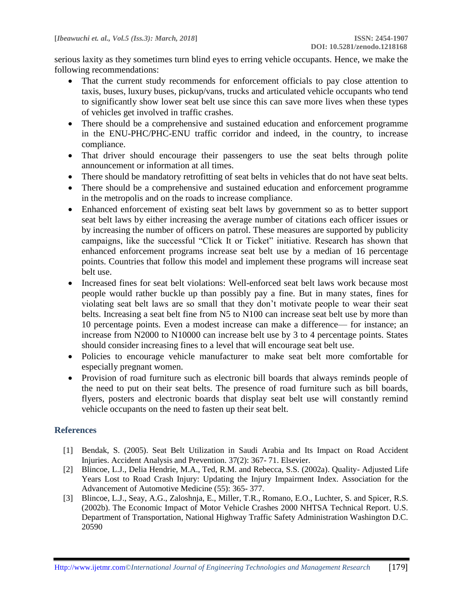serious laxity as they sometimes turn blind eyes to erring vehicle occupants. Hence, we make the following recommendations:

- That the current study recommends for enforcement officials to pay close attention to taxis, buses, luxury buses, pickup/vans, trucks and articulated vehicle occupants who tend to significantly show lower seat belt use since this can save more lives when these types of vehicles get involved in traffic crashes.
- There should be a comprehensive and sustained education and enforcement programme in the ENU-PHC/PHC-ENU traffic corridor and indeed, in the country, to increase compliance.
- That driver should encourage their passengers to use the seat belts through polite announcement or information at all times.
- There should be mandatory retrofitting of seat belts in vehicles that do not have seat belts.
- There should be a comprehensive and sustained education and enforcement programme in the metropolis and on the roads to increase compliance.
- Enhanced enforcement of existing seat belt laws by government so as to better support seat belt laws by either increasing the average number of citations each officer issues or by increasing the number of officers on patrol. These measures are supported by publicity campaigns, like the successful "Click It or Ticket" initiative. Research has shown that enhanced enforcement programs increase seat belt use by a median of 16 percentage points. Countries that follow this model and implement these programs will increase seat belt use.
- Increased fines for seat belt violations: Well-enforced seat belt laws work because most people would rather buckle up than possibly pay a fine. But in many states, fines for violating seat belt laws are so small that they don't motivate people to wear their seat belts. Increasing a seat belt fine from N5 to N100 can increase seat belt use by more than 10 percentage points. Even a modest increase can make a difference— for instance; an increase from N2000 to N10000 can increase belt use by 3 to 4 percentage points. States should consider increasing fines to a level that will encourage seat belt use.
- Policies to encourage vehicle manufacturer to make seat belt more comfortable for especially pregnant women.
- Provision of road furniture such as electronic bill boards that always reminds people of the need to put on their seat belts. The presence of road furniture such as bill boards, flyers, posters and electronic boards that display seat belt use will constantly remind vehicle occupants on the need to fasten up their seat belt.

#### **References**

- [1] Bendak, S. (2005). Seat Belt Utilization in Saudi Arabia and Its Impact on Road Accident Injuries. Accident Analysis and Prevention. 37(2): 367- 71. Elsevier.
- [2] Blincoe, L.J., Delia Hendrie, M.A., Ted, R.M. and Rebecca, S.S. (2002a). Quality- Adjusted Life Years Lost to Road Crash Injury: Updating the Injury Impairment Index. Association for the Advancement of Automotive Medicine (55): 365- 377.
- [3] Blincoe, L.J., Seay, A.G., Zaloshnja, E., Miller, T.R., Romano, E.O., Luchter, S. and Spicer, R.S. (2002b). The Economic Impact of Motor Vehicle Crashes 2000 NHTSA Technical Report. U.S. Department of Transportation, National Highway Traffic Safety Administration Washington D.C. 20590